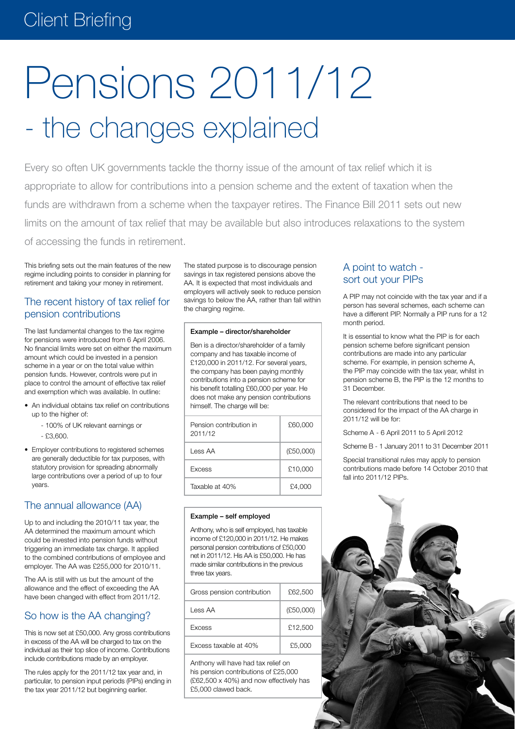## Client Briefing

# Pensions 2011/12 - the changes explained

Every so often UK governments tackle the thorny issue of the amount of tax relief which it is appropriate to allow for contributions into a pension scheme and the extent of taxation when the funds are withdrawn from a scheme when the taxpayer retires. The Finance Bill 2011 sets out new limits on the amount of tax relief that may be available but also introduces relaxations to the system of accessing the funds in retirement.

This briefing sets out the main features of the new regime including points to consider in planning for retirement and taking your money in retirement.

### The recent history of tax relief for pension contributions

The last fundamental changes to the tax regime for pensions were introduced from 6 April 2006. No financial limits were set on either the maximum amount which could be invested in a pension scheme in a year or on the total value within pension funds. However, controls were put in place to control the amount of effective tax relief and exemption which was available. In outline:

- An individual obtains tax relief on contributions up to the higher of:
	- 100% of UK relevant earnings or
	- £3,600.
- • Employer contributions to registered schemes are generally deductible for tax purposes, with statutory provision for spreading abnormally large contributions over a period of up to four years.

## The annual allowance (AA)

Up to and including the 2010/11 tax year, the AA determined the maximum amount which could be invested into pension funds without triggering an immediate tax charge. It applied to the combined contributions of employee and employer. The AA was £255,000 for 2010/11.

The AA is still with us but the amount of the allowance and the effect of exceeding the AA have been changed with effect from 2011/12.

## So how is the AA changing?

This is now set at £50,000. Any gross contributions in excess of the AA will be charged to tax on the individual as their top slice of income. Contributions include contributions made by an employer.

The rules apply for the 2011/12 tax year and, in particular, to pension input periods (PIPs) ending in the tax year 2011/12 but beginning earlier.

The stated purpose is to discourage pension savings in tax registered pensions above the AA. It is expected that most individuals and employers will actively seek to reduce pension savings to below the AA, rather than fall within the charging regime.

#### Example – director/shareholder

Ben is a director/shareholder of a family company and has taxable income of £120,000 in 2011/12. For several years, the company has been paying monthly contributions into a pension scheme for his benefit totalling £60,000 per year. He does not make any pension contributions himself. The charge will be:

| Pension contribution in<br>2011/12 | £60,000   |
|------------------------------------|-----------|
| I ess AA                           | (E50,000) |
| <b>Excess</b>                      | £10,000   |
| Taxable at 40%                     | £4.000    |

#### Example – self employed

Anthony, who is self employed, has taxable income of £120,000 in 2011/12. He makes personal pension contributions of £50,000 net in 2011/12. His AA is £50,000. He has made similar contributions in the previous three tax years.

| Gross pension contribution | £62.500   |
|----------------------------|-----------|
| Less AA                    | (E50,000) |
| <b>Excess</b>              | £12,500   |
| Excess taxable at 40%      | £5,000    |

Anthony will have had tax relief on his pension contributions of £25,000 (£62,500 x 40%) and now effectively has £5,000 clawed back.

## A point to watch sort out your PIPs

A PIP may not coincide with the tax year and if a person has several schemes, each scheme can have a different PIP. Normally a PIP runs for a 12 month period.

It is essential to know what the PIP is for each pension scheme before significant pension contributions are made into any particular scheme. For example, in pension scheme A, the PIP may coincide with the tax year, whilst in pension scheme B, the PIP is the 12 months to 31 December.

The relevant contributions that need to be considered for the impact of the AA charge in 2011/12 will be for:

Scheme A - 6 April 2011 to 5 April 2012

Scheme B - 1 January 2011 to 31 December 2011

Special transitional rules may apply to pension contributions made before 14 October 2010 that fall into 2011/12 PIPs.